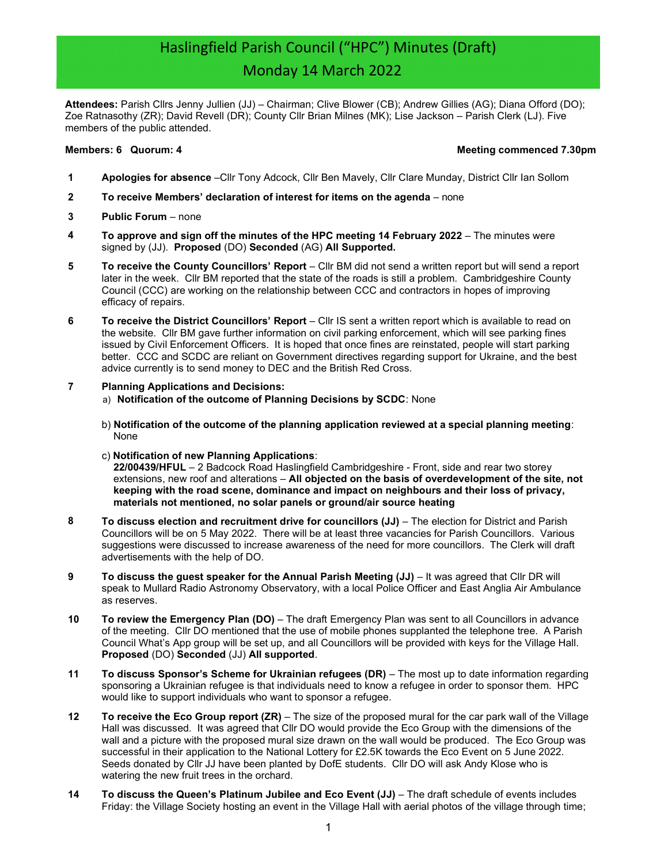# Haslingfield Parish Council ("HPC") Minutes (Draft) Monday 14 March 2022

Attendees: Parish Cllrs Jenny Jullien (JJ) – Chairman; Clive Blower (CB); Andrew Gillies (AG); Diana Offord (DO); Zoe Ratnasothy (ZR); David Revell (DR); County Cllr Brian Milnes (MK); Lise Jackson – Parish Clerk (LJ). Five members of the public attended.

#### Members: 6 Quorum: 4 Meeting commenced 7.30pm

- 1 Apologies for absence –Cllr Tony Adcock, Cllr Ben Mavely, Cllr Clare Munday, District Cllr Ian Sollom
- 2 To receive Members' declaration of interest for items on the agenda none
- 3 Public Forum none
- 4 To approve and sign off the minutes of the HPC meeting 14 February 2022 The minutes were signed by (JJ). Proposed (DO) Seconded (AG) All Supported.
- 5 To receive the County Councillors' Report Cllr BM did not send a written report but will send a report later in the week. Cllr BM reported that the state of the roads is still a problem. Cambridgeshire County Council (CCC) are working on the relationship between CCC and contractors in hopes of improving efficacy of repairs.
- 6 To receive the District Councillors' Report Cllr IS sent a written report which is available to read on the website. Cllr BM gave further information on civil parking enforcement, which will see parking fines issued by Civil Enforcement Officers. It is hoped that once fines are reinstated, people will start parking better. CCC and SCDC are reliant on Government directives regarding support for Ukraine, and the best advice currently is to send money to DEC and the British Red Cross.

### 7 Planning Applications and Decisions:

- a) Notification of the outcome of Planning Decisions by SCDC: None
- b) Notification of the outcome of the planning application reviewed at a special planning meeting: None
- c) Notification of new Planning Applications: 22/00439/HFUL – 2 Badcock Road Haslingfield Cambridgeshire - Front, side and rear two storey extensions, new roof and alterations - All objected on the basis of overdevelopment of the site, not keeping with the road scene, dominance and impact on neighbours and their loss of privacy,
- materials not mentioned, no solar panels or ground/air source heating 8 To discuss election and recruitment drive for councillors (JJ) – The election for District and Parish Councillors will be on 5 May 2022. There will be at least three vacancies for Parish Councillors. Various suggestions were discussed to increase awareness of the need for more councillors. The Clerk will draft advertisements with the help of DO.
- 9 To discuss the guest speaker for the Annual Parish Meeting (JJ) It was agreed that Cllr DR will speak to Mullard Radio Astronomy Observatory, with a local Police Officer and East Anglia Air Ambulance as reserves.
- 10 To review the Emergency Plan (DO) The draft Emergency Plan was sent to all Councillors in advance of the meeting. Cllr DO mentioned that the use of mobile phones supplanted the telephone tree. A Parish Council What's App group will be set up, and all Councillors will be provided with keys for the Village Hall. Proposed (DO) Seconded (JJ) All supported.
- 11 To discuss Sponsor's Scheme for Ukrainian refugees (DR) The most up to date information regarding sponsoring a Ukrainian refugee is that individuals need to know a refugee in order to sponsor them. HPC would like to support individuals who want to sponsor a refugee.
- 12 To receive the Eco Group report (ZR) The size of the proposed mural for the car park wall of the Village Hall was discussed. It was agreed that Cllr DO would provide the Eco Group with the dimensions of the wall and a picture with the proposed mural size drawn on the wall would be produced. The Eco Group was successful in their application to the National Lottery for £2.5K towards the Eco Event on 5 June 2022. Seeds donated by Cllr JJ have been planted by DofE students. Cllr DO will ask Andy Klose who is watering the new fruit trees in the orchard.
- 14 To discuss the Queen's Platinum Jubilee and Eco Event (JJ) The draft schedule of events includes Friday: the Village Society hosting an event in the Village Hall with aerial photos of the village through time;